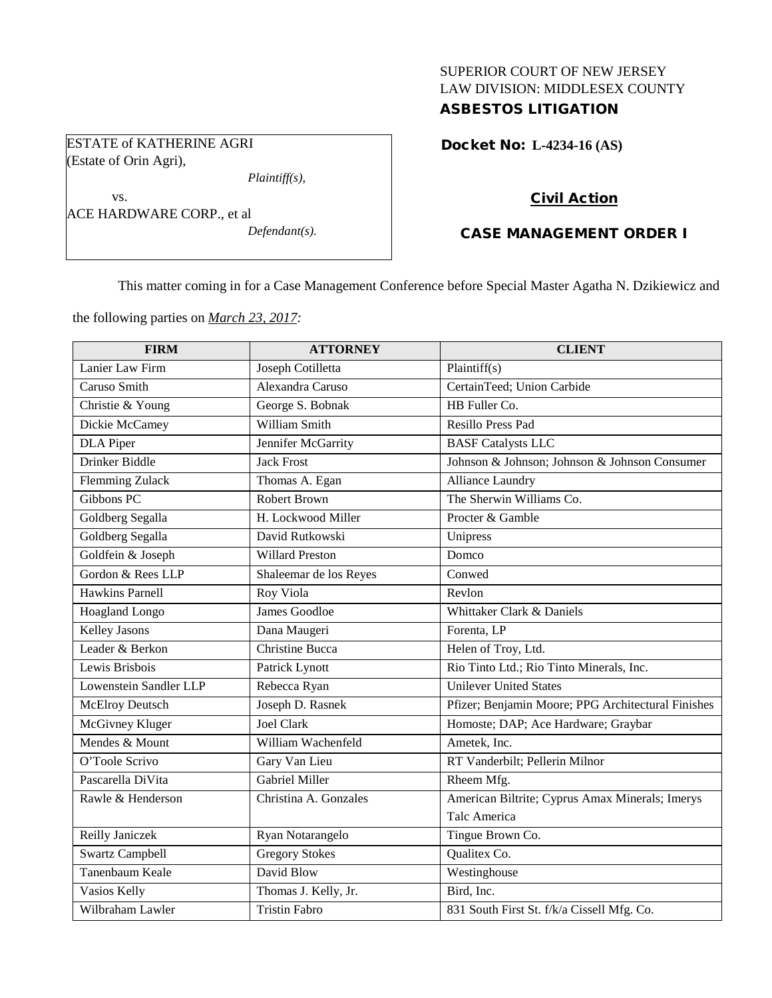# SUPERIOR COURT OF NEW JERSEY LAW DIVISION: MIDDLESEX COUNTY ASBESTOS LITIGATION

ESTATE of KATHERINE AGRI (Estate of Orin Agri),

*Plaintiff(s),*

vs. ACE HARDWARE CORP., et al *Defendant(s).* Docket No: **L-4234-16 (AS)** 

# Civil Action

# CASE MANAGEMENT ORDER I

This matter coming in for a Case Management Conference before Special Master Agatha N. Dzikiewicz and

the following parties on *March 23, 2017:*

| <b>FIRM</b>             | <b>ATTORNEY</b>        | <b>CLIENT</b>                                      |
|-------------------------|------------------------|----------------------------------------------------|
| Lanier Law Firm         | Joseph Cotilletta      | Plaintiff $(s)$                                    |
| Caruso Smith            | Alexandra Caruso       | CertainTeed; Union Carbide                         |
| Christie & Young        | George S. Bobnak       | HB Fuller Co.                                      |
| Dickie McCamey          | William Smith          | Resillo Press Pad                                  |
| <b>DLA</b> Piper        | Jennifer McGarrity     | <b>BASF</b> Catalysts LLC                          |
| Drinker Biddle          | <b>Jack Frost</b>      | Johnson & Johnson; Johnson & Johnson Consumer      |
| <b>Flemming Zulack</b>  | Thomas A. Egan         | Alliance Laundry                                   |
| Gibbons PC              | <b>Robert Brown</b>    | The Sherwin Williams Co.                           |
| Goldberg Segalla        | H. Lockwood Miller     | Procter & Gamble                                   |
| <b>Goldberg Segalla</b> | David Rutkowski        | Unipress                                           |
| Goldfein & Joseph       | <b>Willard Preston</b> | Domco                                              |
| Gordon & Rees LLP       | Shaleemar de los Reyes | Conwed                                             |
| <b>Hawkins Parnell</b>  | Roy Viola              | Revlon                                             |
| Hoagland Longo          | James Goodloe          | Whittaker Clark & Daniels                          |
| <b>Kelley Jasons</b>    | Dana Maugeri           | Forenta, LP                                        |
| Leader & Berkon         | <b>Christine Bucca</b> | Helen of Troy, Ltd.                                |
| Lewis Brisbois          | Patrick Lynott         | Rio Tinto Ltd.; Rio Tinto Minerals, Inc.           |
| Lowenstein Sandler LLP  | Rebecca Ryan           | <b>Unilever United States</b>                      |
| <b>McElroy Deutsch</b>  | Joseph D. Rasnek       | Pfizer; Benjamin Moore; PPG Architectural Finishes |
| McGivney Kluger         | <b>Joel Clark</b>      | Homoste; DAP; Ace Hardware; Graybar                |
| Mendes & Mount          | William Wachenfeld     | Ametek, Inc.                                       |
| O'Toole Scrivo          | Gary Van Lieu          | RT Vanderbilt; Pellerin Milnor                     |
| Pascarella DiVita       | <b>Gabriel Miller</b>  | Rheem Mfg.                                         |
| Rawle & Henderson       | Christina A. Gonzales  | American Biltrite; Cyprus Amax Minerals; Imerys    |
|                         |                        | Talc America                                       |
| Reilly Janiczek         | Ryan Notarangelo       | Tingue Brown Co.                                   |
| <b>Swartz Campbell</b>  | <b>Gregory Stokes</b>  | Qualitex Co.                                       |
| Tanenbaum Keale         | David Blow             | Westinghouse                                       |
| Vasios Kelly            | Thomas J. Kelly, Jr.   | Bird, Inc.                                         |
| Wilbraham Lawler        | <b>Tristin Fabro</b>   | 831 South First St. f/k/a Cissell Mfg. Co.         |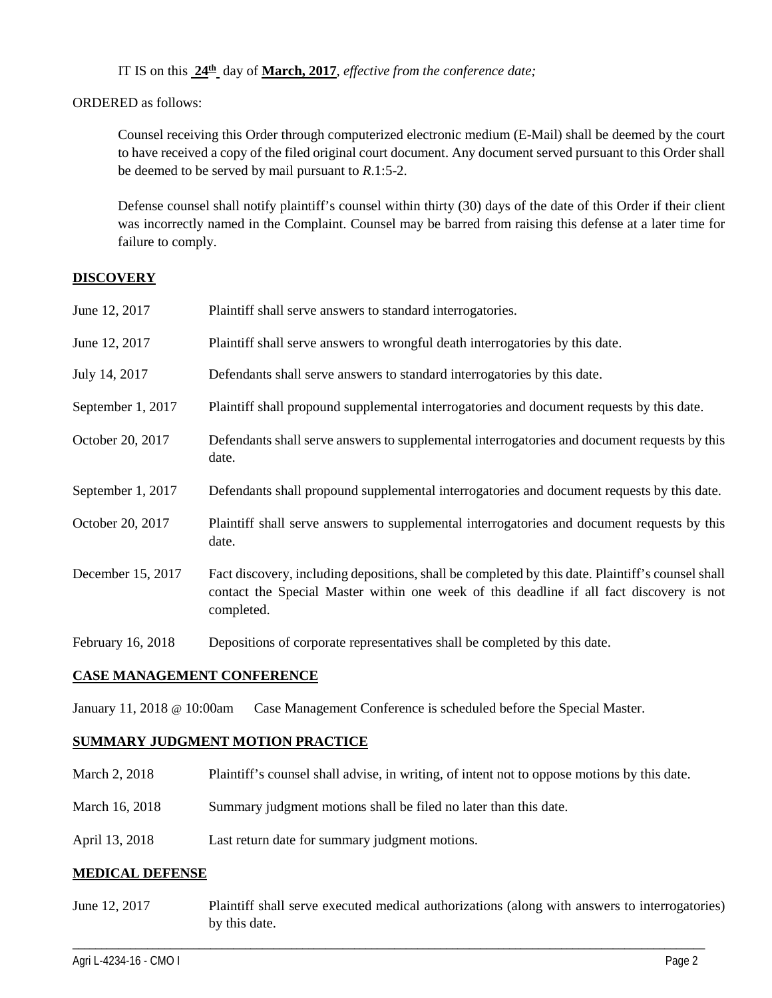IT IS on this **24th** day of **March, 2017**, *effective from the conference date;*

ORDERED as follows:

Counsel receiving this Order through computerized electronic medium (E-Mail) shall be deemed by the court to have received a copy of the filed original court document. Any document served pursuant to this Order shall be deemed to be served by mail pursuant to *R*.1:5-2.

Defense counsel shall notify plaintiff's counsel within thirty (30) days of the date of this Order if their client was incorrectly named in the Complaint. Counsel may be barred from raising this defense at a later time for failure to comply.

## **DISCOVERY**

| June 12, 2017     | Plaintiff shall serve answers to standard interrogatories.                                                                                                                                                  |
|-------------------|-------------------------------------------------------------------------------------------------------------------------------------------------------------------------------------------------------------|
| June 12, 2017     | Plaintiff shall serve answers to wrongful death interrogatories by this date.                                                                                                                               |
| July 14, 2017     | Defendants shall serve answers to standard interrogatories by this date.                                                                                                                                    |
| September 1, 2017 | Plaintiff shall propound supplemental interrogatories and document requests by this date.                                                                                                                   |
| October 20, 2017  | Defendants shall serve answers to supplemental interrogatories and document requests by this<br>date.                                                                                                       |
| September 1, 2017 | Defendants shall propound supplemental interrogatories and document requests by this date.                                                                                                                  |
| October 20, 2017  | Plaintiff shall serve answers to supplemental interrogatories and document requests by this<br>date.                                                                                                        |
| December 15, 2017 | Fact discovery, including depositions, shall be completed by this date. Plaintiff's counsel shall<br>contact the Special Master within one week of this deadline if all fact discovery is not<br>completed. |
| February 16, 2018 | Depositions of corporate representatives shall be completed by this date.                                                                                                                                   |

## **CASE MANAGEMENT CONFERENCE**

January 11, 2018 @ 10:00am Case Management Conference is scheduled before the Special Master.

# **SUMMARY JUDGMENT MOTION PRACTICE**

- March 2, 2018 Plaintiff's counsel shall advise, in writing, of intent not to oppose motions by this date.
- March 16, 2018 Summary judgment motions shall be filed no later than this date.
- April 13, 2018 Last return date for summary judgment motions.

### **MEDICAL DEFENSE**

June 12, 2017 Plaintiff shall serve executed medical authorizations (along with answers to interrogatories) by this date.

\_\_\_\_\_\_\_\_\_\_\_\_\_\_\_\_\_\_\_\_\_\_\_\_\_\_\_\_\_\_\_\_\_\_\_\_\_\_\_\_\_\_\_\_\_\_\_\_\_\_\_\_\_\_\_\_\_\_\_\_\_\_\_\_\_\_\_\_\_\_\_\_\_\_\_\_\_\_\_\_\_\_\_\_\_\_\_\_\_\_\_\_\_\_\_\_\_\_\_\_\_\_\_\_\_\_\_\_\_\_